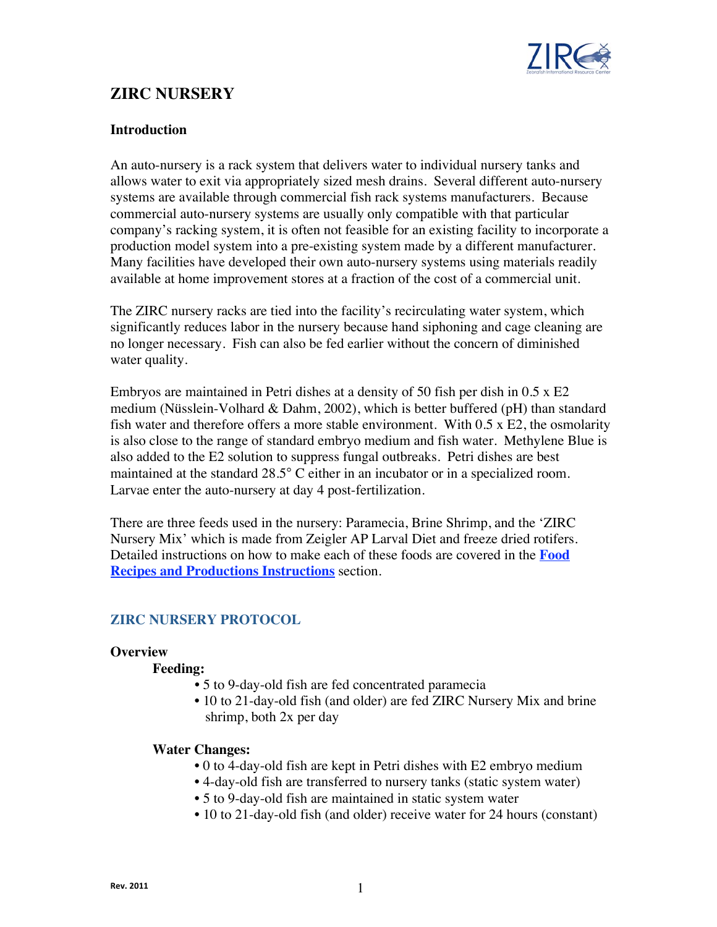

# **ZIRC NURSERY**

### **Introduction**

An auto-nursery is a rack system that delivers water to individual nursery tanks and allows water to exit via appropriately sized mesh drains. Several different auto-nursery systems are available through commercial fish rack systems manufacturers. Because commercial auto-nursery systems are usually only compatible with that particular company's racking system, it is often not feasible for an existing facility to incorporate a production model system into a pre-existing system made by a different manufacturer. Many facilities have developed their own auto-nursery systems using materials readily available at home improvement stores at a fraction of the cost of a commercial unit.

The ZIRC nursery racks are tied into the facility's recirculating water system, which significantly reduces labor in the nursery because hand siphoning and cage cleaning are no longer necessary. Fish can also be fed earlier without the concern of diminished water quality.

Embryos are maintained in Petri dishes at a density of 50 fish per dish in 0.5 x E2 medium (Nüsslein-Volhard & Dahm, 2002), which is better buffered (pH) than standard fish water and therefore offers a more stable environment. With  $0.5 \times E2$ , the osmolarity is also close to the range of standard embryo medium and fish water. Methylene Blue is also added to the E2 solution to suppress fungal outbreaks. Petri dishes are best maintained at the standard 28.5° C either in an incubator or in a specialized room. Larvae enter the auto-nursery at day 4 post-fertilization.

There are three feeds used in the nursery: Paramecia, Brine Shrimp, and the 'ZIRC Nursery Mix' which is made from Zeigler AP Larval Diet and freeze dried rotifers. Detailed instructions on how to make each of these foods are covered in the **Food Recipes and Productions Instructions** section.

## **ZIRC NURSERY PROTOCOL**

### **Overview**

### **Feeding:**

- 5 to 9-day-old fish are fed concentrated paramecia
- 10 to 21-day-old fish (and older) are fed ZIRC Nursery Mix and brine shrimp, both 2x per day

### **Water Changes:**

- 0 to 4-day-old fish are kept in Petri dishes with E2 embryo medium
- 4-day-old fish are transferred to nursery tanks (static system water)
- 5 to 9-day-old fish are maintained in static system water
- 10 to 21-day-old fish (and older) receive water for 24 hours (constant)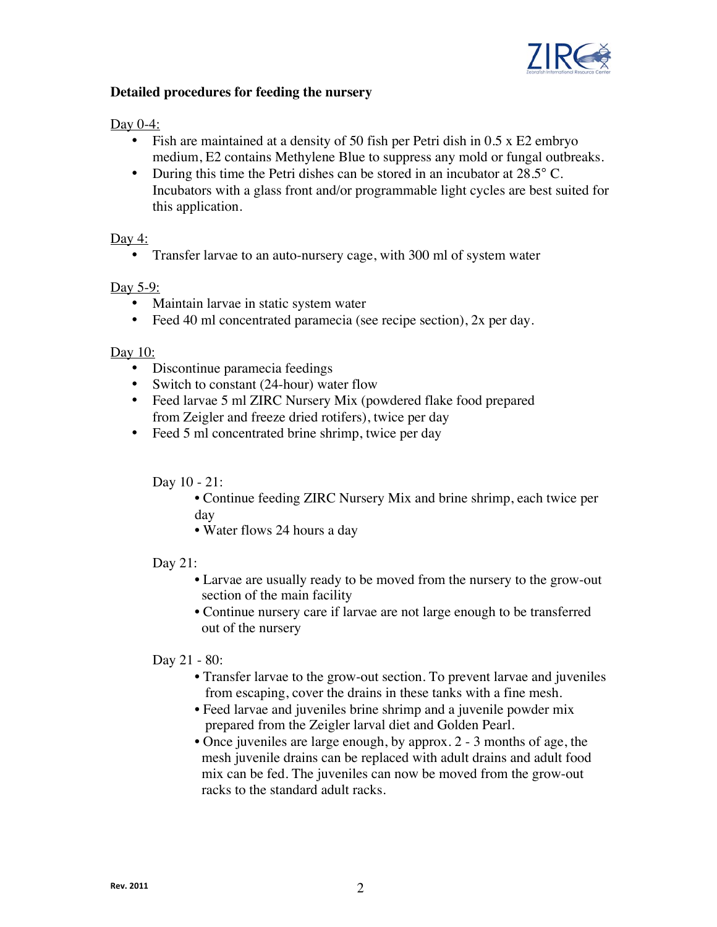

## **Detailed procedures for feeding the nursery**

### Day 0-4:

- Fish are maintained at a density of 50 fish per Petri dish in 0.5 x E2 embryo medium, E2 contains Methylene Blue to suppress any mold or fungal outbreaks.
- During this time the Petri dishes can be stored in an incubator at 28.5° C. Incubators with a glass front and/or programmable light cycles are best suited for this application.

## Day 4:

• Transfer larvae to an auto-nursery cage, with 300 ml of system water

## Day 5-9:

- Maintain larvae in static system water
- Feed 40 ml concentrated paramecia (see recipe section), 2x per day.

### Day 10:

- Discontinue paramecia feedings
- Switch to constant (24-hour) water flow
- Feed larvae 5 ml ZIRC Nursery Mix (powdered flake food prepared from Zeigler and freeze dried rotifers), twice per day
- Feed 5 ml concentrated brine shrimp, twice per day

Day 10 - 21:

- Continue feeding ZIRC Nursery Mix and brine shrimp, each twice per day
- Water flows 24 hours a day

### Day 21:

- Larvae are usually ready to be moved from the nursery to the grow-out section of the main facility
- Continue nursery care if larvae are not large enough to be transferred out of the nursery

### Day 21 - 80:

- Transfer larvae to the grow-out section. To prevent larvae and juveniles from escaping, cover the drains in these tanks with a fine mesh.
- Feed larvae and juveniles brine shrimp and a juvenile powder mix prepared from the Zeigler larval diet and Golden Pearl.
- Once juveniles are large enough, by approx. 2 3 months of age, the mesh juvenile drains can be replaced with adult drains and adult food mix can be fed. The juveniles can now be moved from the grow-out racks to the standard adult racks.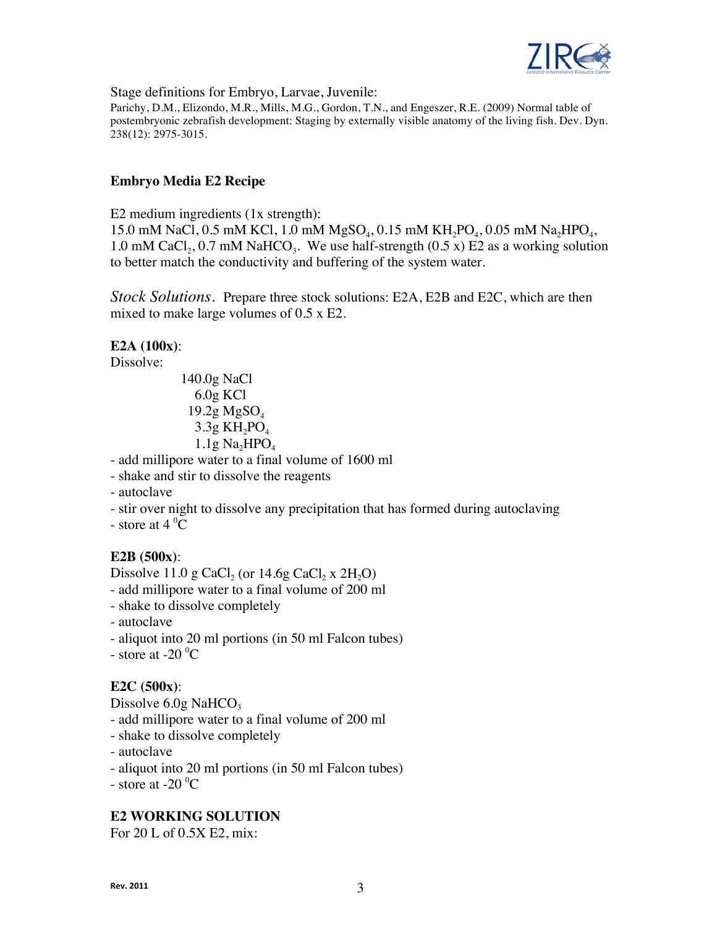

Stage definitions for Embryo, Larvae, Juvenile:

Parichy, D.M., Elizondo, M.R., Mills, M.G., Gordon, T.N., and Engeszer, R.E. (2009) Normal table of postembryonic zebrafish development: Staging by externally visible anatomy of the living fish. Dev. Dyn. 238(12): 2975-3015.

### **Embryo Media E2 Recipe**

E2 medium ingredients (1x strength): 15.0 mM NaCl, 0.5 mM KCl, 1.0 mM  $MgSO_4$ , 0.15 mM  $KH_2PO_4$ , 0.05 mM Na<sub>2</sub>HPO<sub>4</sub>, 1.0 mM CaCl<sub>2</sub>, 0.7 mM NaHCO<sub>3</sub>. We use half-strength (0.5 x) E2 as a working solution to better match the conductivity and buffering of the system water.

*Stock Solutions.* Prepare three stock solutions: E2A, E2B and E2C, which are then mixed to make large volumes of 0.5 x E2.

#### **E2A (100x)**:

Dissolve:

140.0g NaCl 6.0g KCl  $19.2g\text{ MgSO}_4$  $3.3g$  KH<sub>2</sub>PO<sub>4</sub>  $1.1g$  Na<sub>2</sub>HPO<sub>4</sub>

- add millipore water to a final volume of 1600 ml

- shake and stir to dissolve the reagents

- autoclave

- stir over night to dissolve any precipitation that has formed during autoclaving

- store at  $4^{\circ}$ C

## **E2B (500x)**:

Dissolve 11.0 g CaCl<sub>2</sub> (or 14.6g CaCl<sub>2</sub> x 2H<sub>2</sub>O) - add millipore water to a final volume of 200 ml - shake to dissolve completely - autoclave - aliquot into 20 ml portions (in 50 ml Falcon tubes)

- store at  $-20\degree C$ 

### **E2C (500x)**:

Dissolve  $6.0g$  NaHCO<sub>3</sub> - add millipore water to a final volume of 200 ml - shake to dissolve completely - autoclave - aliquot into 20 ml portions (in 50 ml Falcon tubes)

- store at  $-20\degree C$ 

### **E2 WORKING SOLUTION**

For 20 L of 0.5X E2, mix: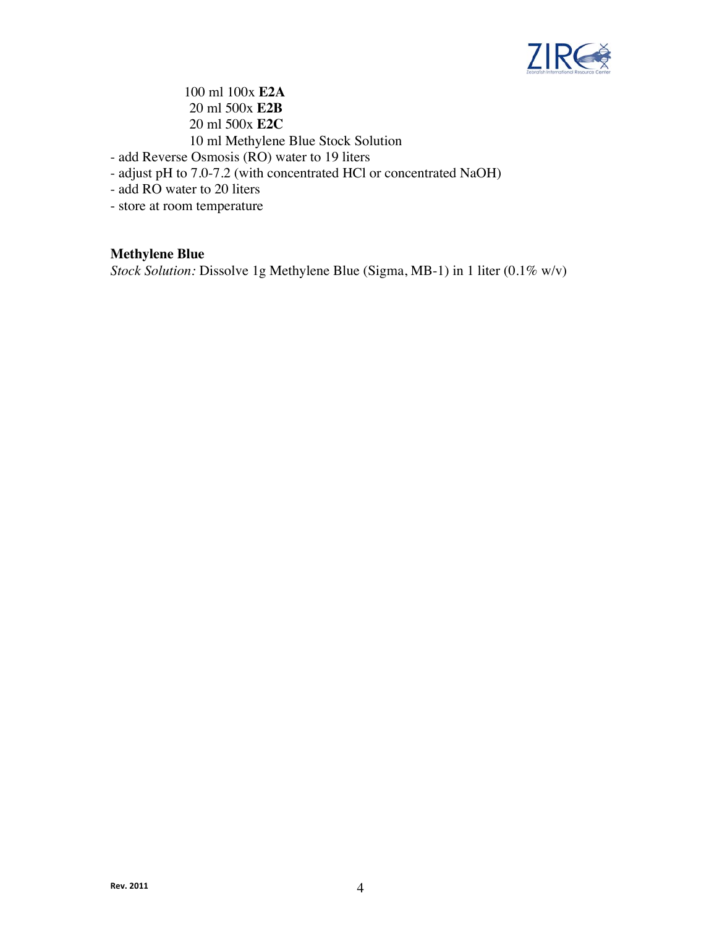

100 ml 100x **E2A** 20 ml 500x **E2B** 20 ml 500x **E2C**  10 ml Methylene Blue Stock Solution

- add Reverse Osmosis (RO) water to 19 liters
- adjust pH to 7.0-7.2 (with concentrated HCl or concentrated NaOH)
- add RO water to 20 liters
- store at room temperature

## **Methylene Blue**

*Stock Solution:* Dissolve 1g Methylene Blue (Sigma, MB-1) in 1 liter (0.1% w/v)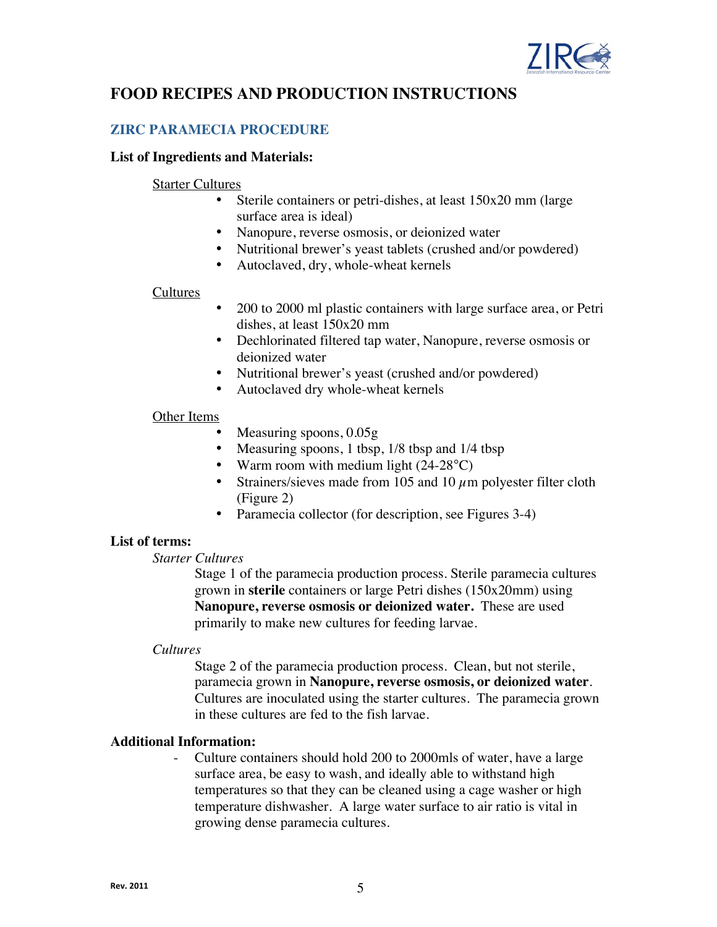

# **FOOD RECIPES AND PRODUCTION INSTRUCTIONS**

## **ZIRC PARAMECIA PROCEDURE**

#### **List of Ingredients and Materials:**

#### Starter Cultures

- Sterile containers or petri-dishes, at least 150x20 mm (large surface area is ideal)
- Nanopure, reverse osmosis, or deionized water
- Nutritional brewer's yeast tablets (crushed and/or powdered)
- Autoclaved, dry, whole-wheat kernels

#### Cultures

- 200 to 2000 ml plastic containers with large surface area, or Petri dishes, at least 150x20 mm
- Dechlorinated filtered tap water, Nanopure, reverse osmosis or deionized water
- Nutritional brewer's yeast (crushed and/or powdered)
- Autoclaved dry whole-wheat kernels

#### Other Items

- Measuring spoons,  $0.05g$
- Measuring spoons, 1 tbsp, 1/8 tbsp and 1/4 tbsp
- Warm room with medium light (24-28 °C)
- Strainers/sieves made from 105 and 10  $\mu$ m polyester filter cloth (Figure 2)
- Paramecia collector (for description, see Figures 3-4)

### **List of terms:**

#### *Starter Cultures*

Stage 1 of the paramecia production process. Sterile paramecia cultures grown in **sterile** containers or large Petri dishes (150x20mm) using **Nanopure, reverse osmosis or deionized water.** These are used primarily to make new cultures for feeding larvae.

#### *Cultures*

Stage 2 of the paramecia production process. Clean, but not sterile, paramecia grown in **Nanopure, reverse osmosis, or deionized water**. Cultures are inoculated using the starter cultures. The paramecia grown in these cultures are fed to the fish larvae.

### **Additional Information:**

- Culture containers should hold 200 to 2000mls of water, have a large surface area, be easy to wash, and ideally able to withstand high temperatures so that they can be cleaned using a cage washer or high temperature dishwasher. A large water surface to air ratio is vital in growing dense paramecia cultures.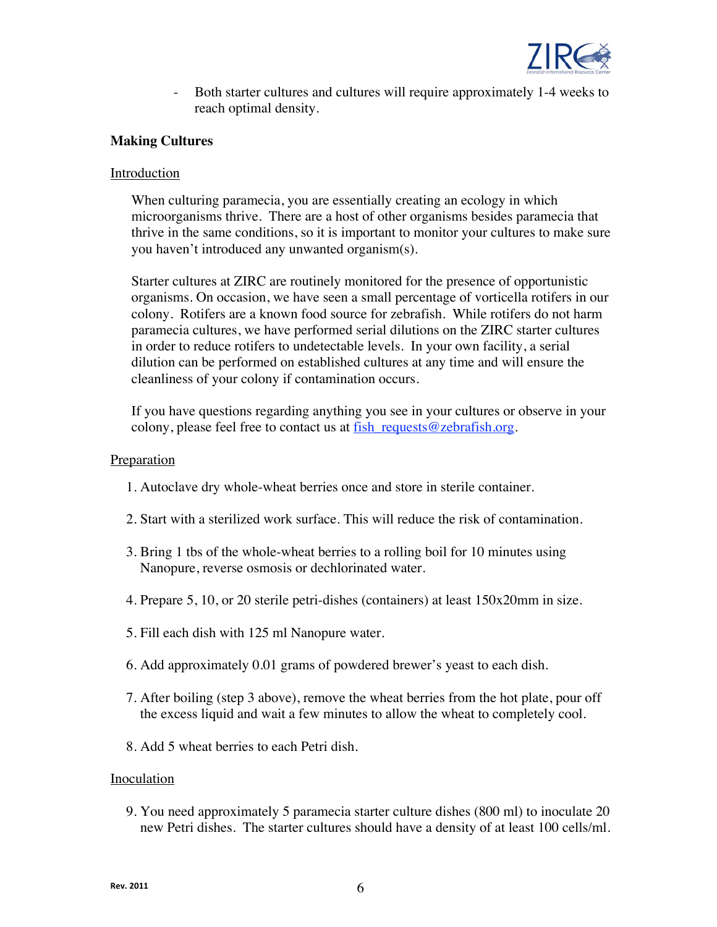

- Both starter cultures and cultures will require approximately 1-4 weeks to reach optimal density.

### **Making Cultures**

### **Introduction**

When culturing paramecia, you are essentially creating an ecology in which microorganisms thrive. There are a host of other organisms besides paramecia that thrive in the same conditions, so it is important to monitor your cultures to make sure you haven't introduced any unwanted organism(s).

Starter cultures at ZIRC are routinely monitored for the presence of opportunistic organisms. On occasion, we have seen a small percentage of vorticella rotifers in our colony. Rotifers are a known food source for zebrafish. While rotifers do not harm paramecia cultures, we have performed serial dilutions on the ZIRC starter cultures in order to reduce rotifers to undetectable levels. In your own facility, a serial dilution can be performed on established cultures at any time and will ensure the cleanliness of your colony if contamination occurs.

If you have questions regarding anything you see in your cultures or observe in your colony, please feel free to contact us at  $\frac{fish\; requests@zebrafish.org.}$ 

#### Preparation

- 1. Autoclave dry whole-wheat berries once and store in sterile container.
- 2. Start with a sterilized work surface. This will reduce the risk of contamination.
- 3. Bring 1 tbs of the whole-wheat berries to a rolling boil for 10 minutes using Nanopure, reverse osmosis or dechlorinated water.
- 4. Prepare 5, 10, or 20 sterile petri-dishes (containers) at least 150x20mm in size.
- 5. Fill each dish with 125 ml Nanopure water.
- 6. Add approximately 0.01 grams of powdered brewer's yeast to each dish.
- 7. After boiling (step 3 above), remove the wheat berries from the hot plate, pour off the excess liquid and wait a few minutes to allow the wheat to completely cool.
- 8. Add 5 wheat berries to each Petri dish.

#### Inoculation

9. You need approximately 5 paramecia starter culture dishes (800 ml) to inoculate 20 new Petri dishes. The starter cultures should have a density of at least 100 cells/ml.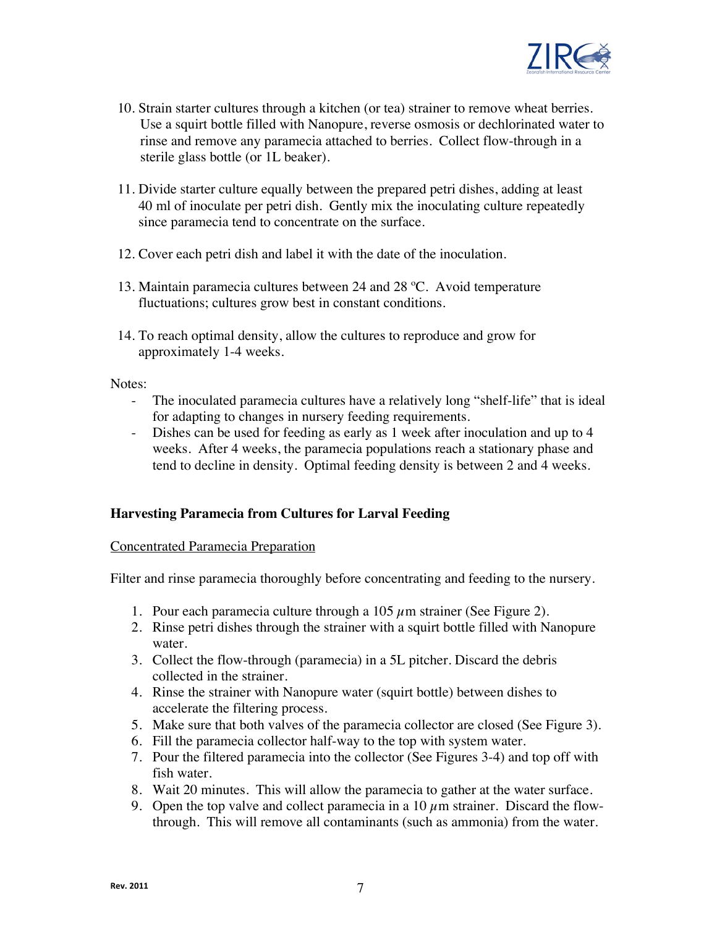

- 10. Strain starter cultures through a kitchen (or tea) strainer to remove wheat berries. Use a squirt bottle filled with Nanopure, reverse osmosis or dechlorinated water to rinse and remove any paramecia attached to berries. Collect flow-through in a sterile glass bottle (or 1L beaker).
- 11. Divide starter culture equally between the prepared petri dishes, adding at least 40 ml of inoculate per petri dish. Gently mix the inoculating culture repeatedly since paramecia tend to concentrate on the surface.
- 12. Cover each petri dish and label it with the date of the inoculation.
- 13. Maintain paramecia cultures between 24 and 28 ºC. Avoid temperature fluctuations; cultures grow best in constant conditions.
- 14. To reach optimal density, allow the cultures to reproduce and grow for approximately 1-4 weeks.

Notes:

- The inoculated paramecia cultures have a relatively long "shelf-life" that is ideal for adapting to changes in nursery feeding requirements.
- Dishes can be used for feeding as early as 1 week after inoculation and up to 4 weeks. After 4 weeks, the paramecia populations reach a stationary phase and tend to decline in density. Optimal feeding density is between 2 and 4 weeks.

### **Harvesting Paramecia from Cultures for Larval Feeding**

#### Concentrated Paramecia Preparation

Filter and rinse paramecia thoroughly before concentrating and feeding to the nursery.

- 1. Pour each paramecia culture through a 105  $\mu$ m strainer (See Figure 2).
- 2. Rinse petri dishes through the strainer with a squirt bottle filled with Nanopure water.
- 3. Collect the flow-through (paramecia) in a 5L pitcher. Discard the debris collected in the strainer.
- 4. Rinse the strainer with Nanopure water (squirt bottle) between dishes to accelerate the filtering process.
- 5. Make sure that both valves of the paramecia collector are closed (See Figure 3).
- 6. Fill the paramecia collector half-way to the top with system water.
- 7. Pour the filtered paramecia into the collector (See Figures 3-4) and top off with fish water.
- 8. Wait 20 minutes. This will allow the paramecia to gather at the water surface.
- 9. Open the top valve and collect paramecia in a  $10 \mu$ m strainer. Discard the flowthrough. This will remove all contaminants (such as ammonia) from the water.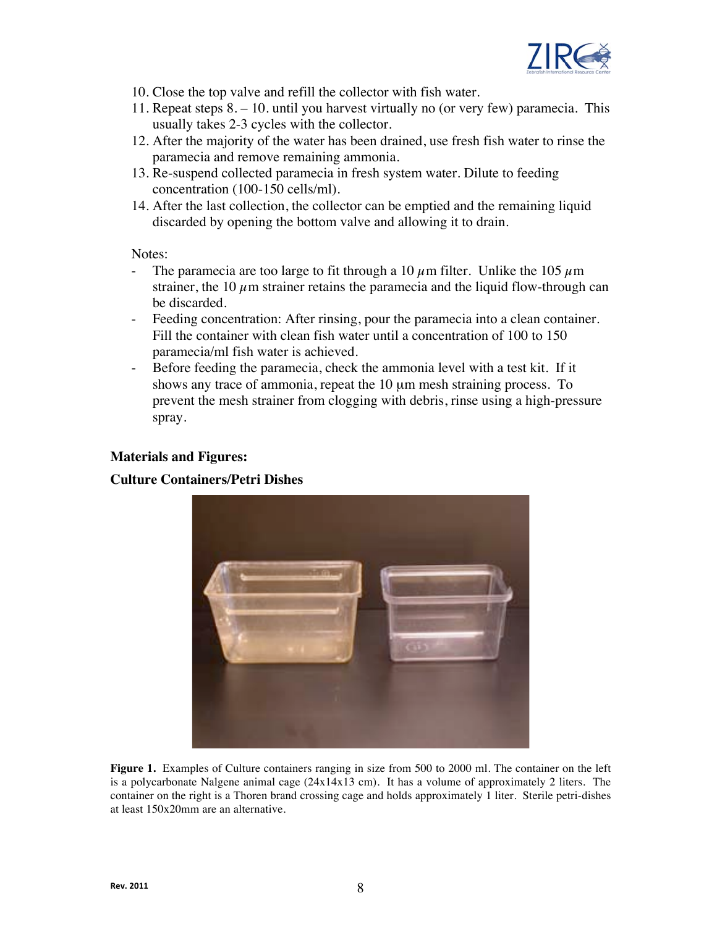

- 10. Close the top valve and refill the collector with fish water.
- 11. Repeat steps 8. 10. until you harvest virtually no (or very few) paramecia. This usually takes 2-3 cycles with the collector.
- 12. After the majority of the water has been drained, use fresh fish water to rinse the paramecia and remove remaining ammonia.
- 13. Re-suspend collected paramecia in fresh system water. Dilute to feeding concentration (100-150 cells/ml).
- 14. After the last collection, the collector can be emptied and the remaining liquid discarded by opening the bottom valve and allowing it to drain.

Notes:

- The paramecia are too large to fit through a 10  $\mu$ m filter. Unlike the 105  $\mu$ m strainer, the 10  $\mu$ m strainer retains the paramecia and the liquid flow-through can be discarded.
- Feeding concentration: After rinsing, pour the paramecia into a clean container. Fill the container with clean fish water until a concentration of 100 to 150 paramecia/ml fish water is achieved.
- Before feeding the paramecia, check the ammonia level with a test kit. If it shows any trace of ammonia, repeat the 10  $\mu$ m mesh straining process. To prevent the mesh strainer from clogging with debris, rinse using a high-pressure spray.

#### **Materials and Figures:**

### **Culture Containers/Petri Dishes**



**Figure 1.** Examples of Culture containers ranging in size from 500 to 2000 ml. The container on the left is a polycarbonate Nalgene animal cage  $(24x14x13$  cm). It has a volume of approximately 2 liters. The container on the right is a Thoren brand crossing cage and holds approximately 1 liter. Sterile petri-dishes at least 150x20mm are an alternative.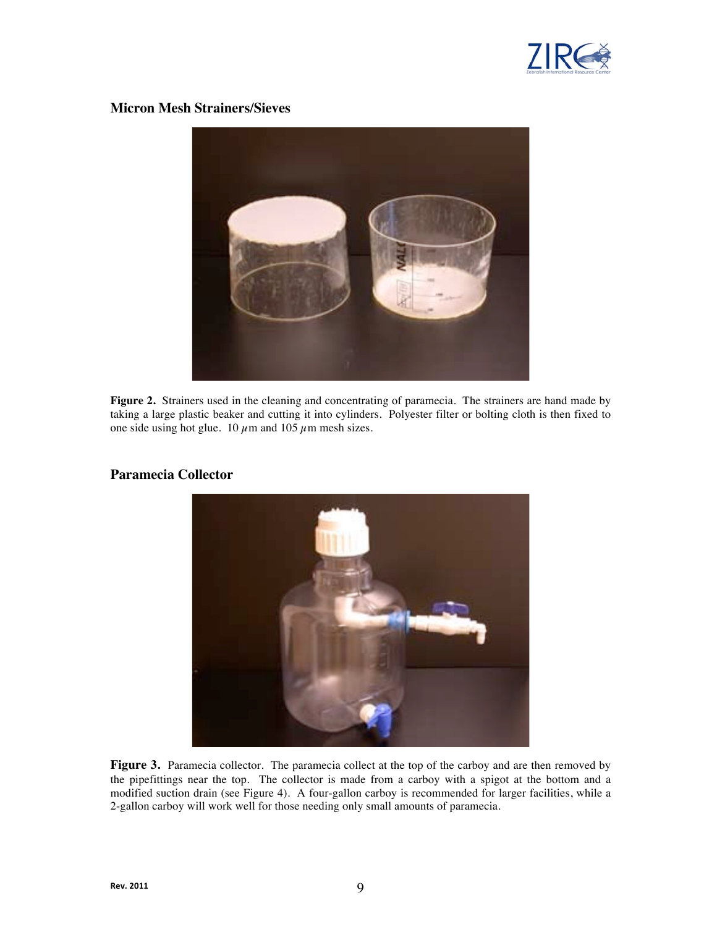

#### **Micron Mesh Strainers/Sieves**



**Figure 2.** Strainers used in the cleaning and concentrating of paramecia. The strainers are hand made by taking a large plastic beaker and cutting it into cylinders. Polyester filter or bolting cloth is then fixed to one side using hot glue. 10  $\mu$ m and 105  $\mu$ m mesh sizes.



#### **Paramecia Collector**

**Figure 3.** Paramecia collector. The paramecia collect at the top of the carboy and are then removed by the pipefittings near the top. The collector is made from a carboy with a spigot at the bottom and a modified suction drain (see Figure 4). A four-gallon carboy is recommended for larger facilities, while a 2-gallon carboy will work well for those needing only small amounts of paramecia.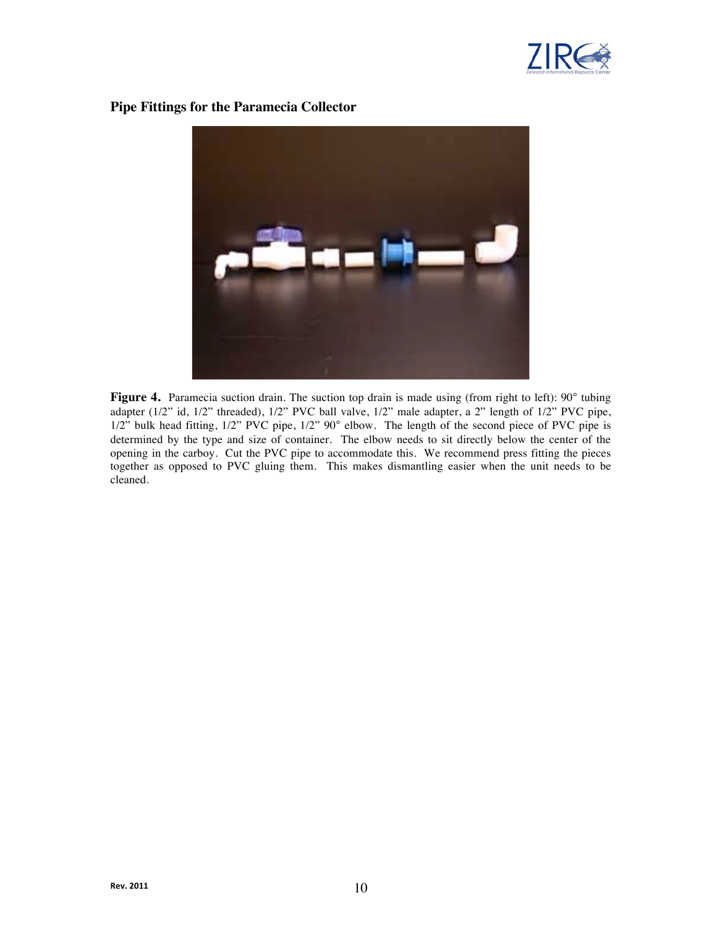

#### **Pipe Fittings for the Paramecia Collector**



Figure 4. Paramecia suction drain. The suction top drain is made using (from right to left): 90° tubing adapter (1/2" id, 1/2" threaded), 1/2" PVC ball valve, 1/2" male adapter, a 2" length of 1/2" PVC pipe, 1/2" bulk head fitting, 1/2" PVC pipe, 1/2" 90° elbow. The length of the second piece of PVC pipe is determined by the type and size of container. The elbow needs to sit directly below the center of the opening in the carboy. Cut the PVC pipe to accommodate this. We recommend press fitting the pieces together as opposed to PVC gluing them. This makes dismantling easier when the unit needs to be cleaned.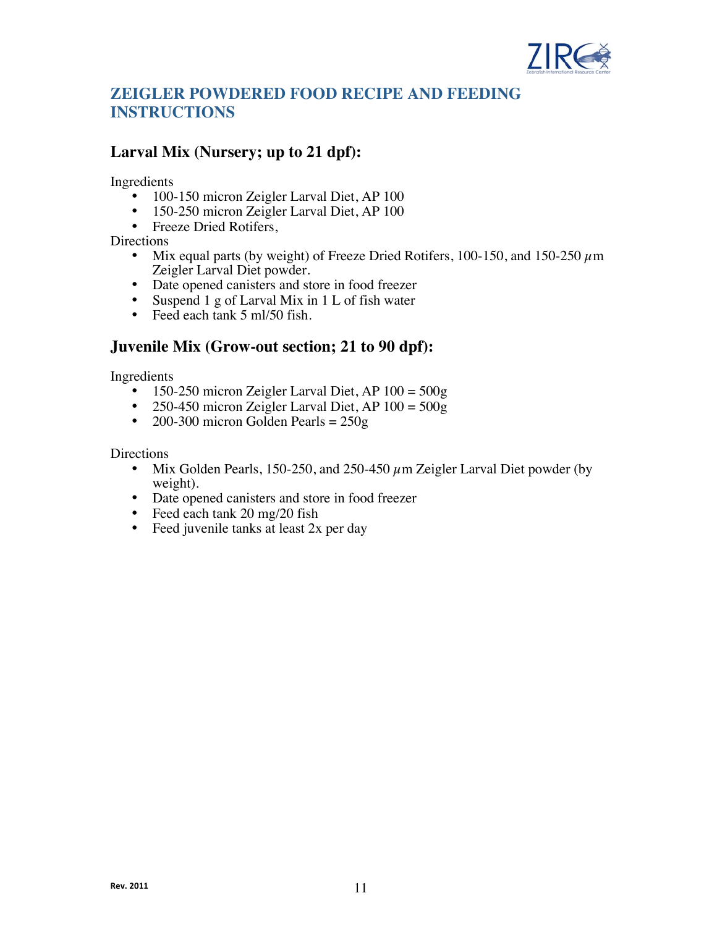

# **ZEIGLER POWDERED FOOD RECIPE AND FEEDING INSTRUCTIONS**

## **Larval Mix (Nursery; up to 21 dpf):**

Ingredients

- 100-150 micron Zeigler Larval Diet, AP 100
- 150-250 micron Zeigler Larval Diet, AP 100
- Freeze Dried Rotifers,

Directions

- Mix equal parts (by weight) of Freeze Dried Rotifers, 100-150, and 150-250  $\mu$ m Zeigler Larval Diet powder.
- Date opened canisters and store in food freezer
- Suspend 1 g of Larval Mix in 1 L of fish water<br>• Feed each tank 5 ml/50 fish
- Feed each tank 5 ml/50 fish.

## **Juvenile Mix (Grow-out section; 21 to 90 dpf):**

Ingredients

- 
- 150-250 micron Zeigler Larval Diet, AP  $100 = 500g$ <br>• 250-450 micron Zeigler Larval Diet, AP  $100 = 500g$ 250-450 micron Zeigler Larval Diet, AP  $100 = 500g$
- 200-300 micron Golden Pearls =  $250g$

Directions

- Mix Golden Pearls, 150-250, and 250-450  $\mu$ m Zeigler Larval Diet powder (by weight).
- Date opened canisters and store in food freezer<br>• Feed each tank 20 mg/20 fish
- Feed each tank 20 mg/20 fish
- Feed juvenile tanks at least 2x per day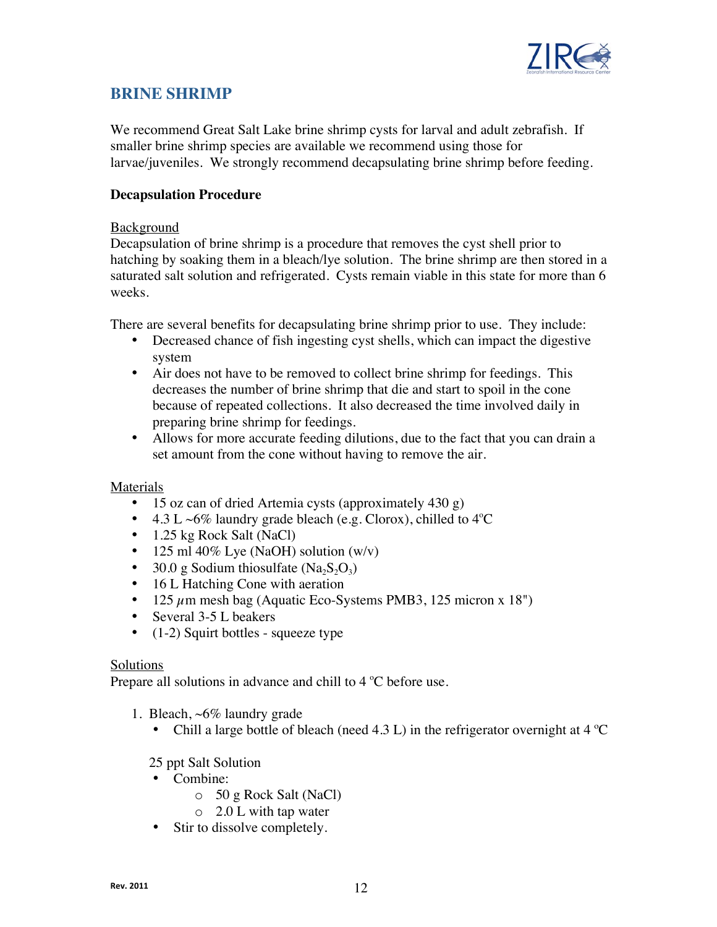

## **BRINE SHRIMP**

We recommend Great Salt Lake brine shrimp cysts for larval and adult zebrafish. If smaller brine shrimp species are available we recommend using those for larvae/juveniles. We strongly recommend decapsulating brine shrimp before feeding.

### **Decapsulation Procedure**

### Background

Decapsulation of brine shrimp is a procedure that removes the cyst shell prior to hatching by soaking them in a bleach/lye solution. The brine shrimp are then stored in a saturated salt solution and refrigerated. Cysts remain viable in this state for more than 6 weeks.

There are several benefits for decapsulating brine shrimp prior to use. They include:

- Decreased chance of fish ingesting cyst shells, which can impact the digestive system
- Air does not have to be removed to collect brine shrimp for feedings. This decreases the number of brine shrimp that die and start to spoil in the cone because of repeated collections. It also decreased the time involved daily in preparing brine shrimp for feedings.
- Allows for more accurate feeding dilutions, due to the fact that you can drain a set amount from the cone without having to remove the air.

### Materials

- 15 oz can of dried Artemia cysts (approximately 430 g)
- 4.3 L ~6% laundry grade bleach (e.g. Clorox), chilled to  $4^{\circ}$ C
- 1.25 kg Rock Salt (NaCl)
- 125 ml 40% Lye (NaOH) solution  $(w/v)$
- 30.0 g Sodium thiosulfate  $(Na_2S_2O_3)$
- 16 L Hatching Cone with aeration
- 125  $\mu$ m mesh bag (Aquatic Eco-Systems PMB3, 125 micron x 18")
- Several 3-5 L beakers
- (1-2) Squirt bottles squeeze type

#### Solutions

Prepare all solutions in advance and chill to  $4^{\circ}$ C before use.

- 1. Bleach, ~6% laundry grade
	- Chill a large bottle of bleach (need 4.3 L) in the refrigerator overnight at  $4^{\circ}$ C

### 25 ppt Salt Solution

- Combine:
	- o 50 g Rock Salt (NaCl)
	- o 2.0 L with tap water
- Stir to dissolve completely.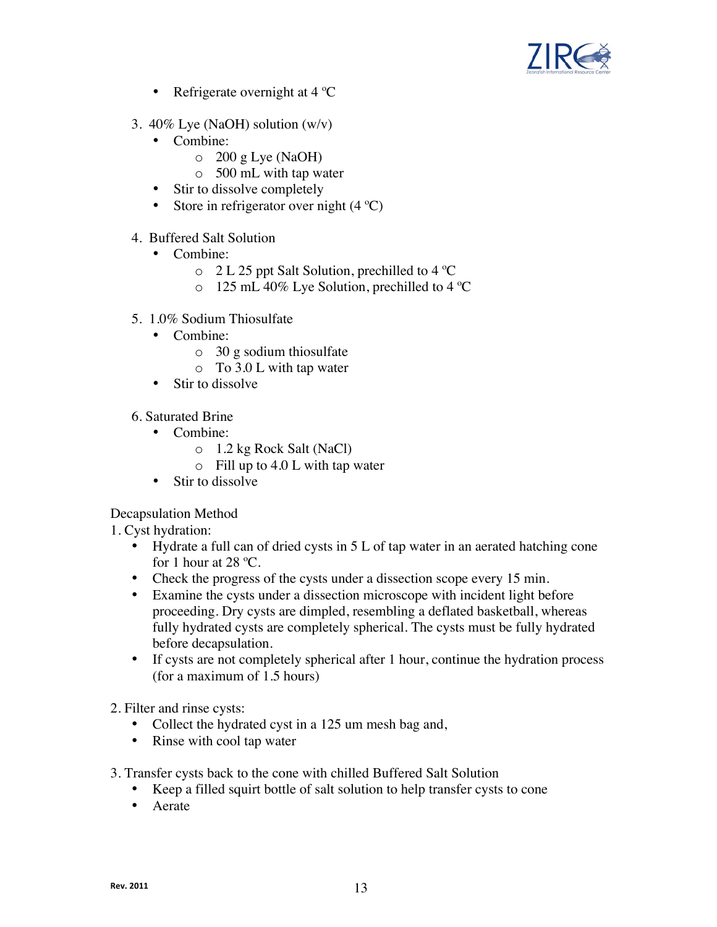

- Refrigerate overnight at  $4^{\circ}C$
- 3. 40% Lye (NaOH) solution (w/v)
	- Combine:
		- $\circ$  200 g Lye (NaOH)
		- o 500 mL with tap water
	- Stir to dissolve completely
	- Store in refrigerator over night  $(4^{\circ}C)$
- 4. Buffered Salt Solution
	- Combine:
		- o 2 L 25 ppt Salt Solution, prechilled to 4 ºC
		- o 125 mL 40% Lye Solution, prechilled to 4 ºC
- 5. 1.0% Sodium Thiosulfate
	- Combine:
		- o 30 g sodium thiosulfate
		- o To 3.0 L with tap water
	- Stir to dissolve
- 6. Saturated Brine
	- Combine:
		- o 1.2 kg Rock Salt (NaCl)
		- o Fill up to 4.0 L with tap water
	- Stir to dissolve

Decapsulation Method

1. Cyst hydration:

- Hydrate a full can of dried cysts in 5 L of tap water in an aerated hatching cone for 1 hour at 28  $^{\circ}$ C.
- Check the progress of the cysts under a dissection scope every 15 min.
- Examine the cysts under a dissection microscope with incident light before proceeding. Dry cysts are dimpled, resembling a deflated basketball, whereas fully hydrated cysts are completely spherical. The cysts must be fully hydrated before decapsulation.
- If cysts are not completely spherical after 1 hour, continue the hydration process (for a maximum of 1.5 hours)

2. Filter and rinse cysts:

- Collect the hydrated cyst in a 125 um mesh bag and,
- Rinse with cool tap water
- 3. Transfer cysts back to the cone with chilled Buffered Salt Solution
	- Keep a filled squirt bottle of salt solution to help transfer cysts to cone
	- Aerate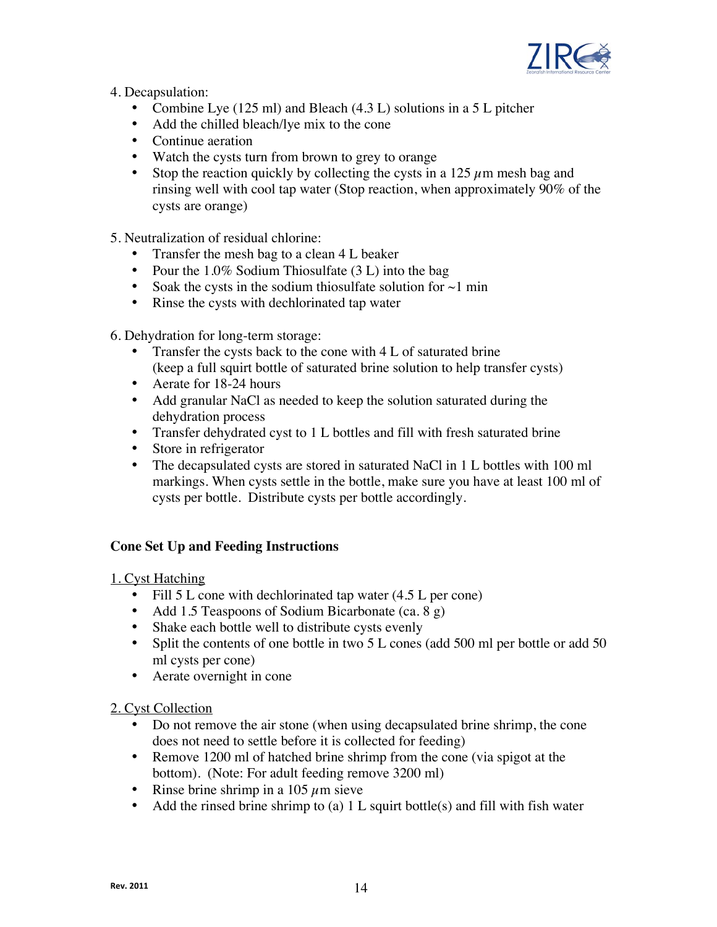

4. Decapsulation:

- Combine Lye (125 ml) and Bleach (4.3 L) solutions in a 5 L pitcher
- Add the chilled bleach/lye mix to the cone
- Continue aeration
- Watch the cysts turn from brown to grey to orange
- Stop the reaction quickly by collecting the cysts in a 125  $\mu$ m mesh bag and rinsing well with cool tap water (Stop reaction, when approximately 90% of the cysts are orange)

5. Neutralization of residual chlorine:

- Transfer the mesh bag to a clean 4 L beaker
- Pour the 1.0% Sodium Thiosulfate (3 L) into the bag
- Soak the cysts in the sodium thiosulfate solution for  $\sim$ 1 min
- Rinse the cysts with dechlorinated tap water

6. Dehydration for long-term storage:

- Transfer the cysts back to the cone with 4 L of saturated brine (keep a full squirt bottle of saturated brine solution to help transfer cysts)
- Aerate for 18-24 hours
- Add granular NaCl as needed to keep the solution saturated during the dehydration process
- Transfer dehydrated cyst to 1 L bottles and fill with fresh saturated brine
- Store in refrigerator
- The decapsulated cysts are stored in saturated NaCl in 1 L bottles with 100 ml markings. When cysts settle in the bottle, make sure you have at least 100 ml of cysts per bottle. Distribute cysts per bottle accordingly.

## **Cone Set Up and Feeding Instructions**

1. Cyst Hatching

- Fill 5 L cone with dechlorinated tap water (4.5 L per cone)
- Add 1.5 Teaspoons of Sodium Bicarbonate (ca. 8 g)
- Shake each bottle well to distribute cysts evenly
- Split the contents of one bottle in two 5 L cones (add 500 ml per bottle or add 50 ml cysts per cone)
- Aerate overnight in cone

2. Cyst Collection

- Do not remove the air stone (when using decapsulated brine shrimp, the cone does not need to settle before it is collected for feeding)
- Remove 1200 ml of hatched brine shrimp from the cone (via spigot at the bottom). (Note: For adult feeding remove 3200 ml)
- Rinse brine shrimp in a 105  $\mu$ m sieve
- Add the rinsed brine shrimp to (a) 1 L squirt bottle(s) and fill with fish water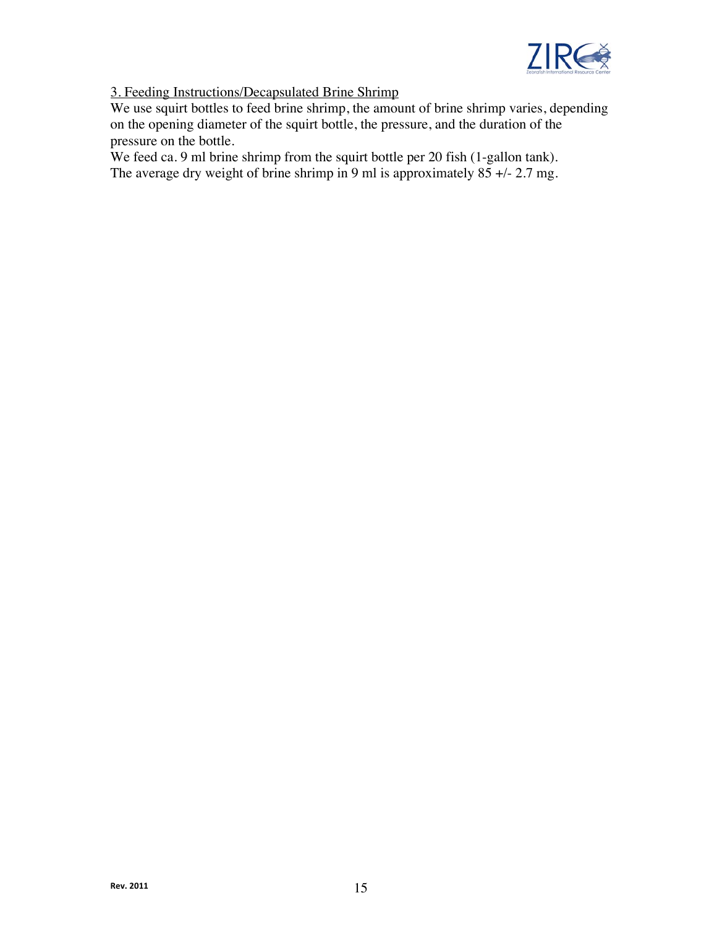

## 3. Feeding Instructions/Decapsulated Brine Shrimp

We use squirt bottles to feed brine shrimp, the amount of brine shrimp varies, depending on the opening diameter of the squirt bottle, the pressure, and the duration of the pressure on the bottle.

We feed ca. 9 ml brine shrimp from the squirt bottle per 20 fish (1-gallon tank). The average dry weight of brine shrimp in 9 ml is approximately  $85 +/-2.7$  mg.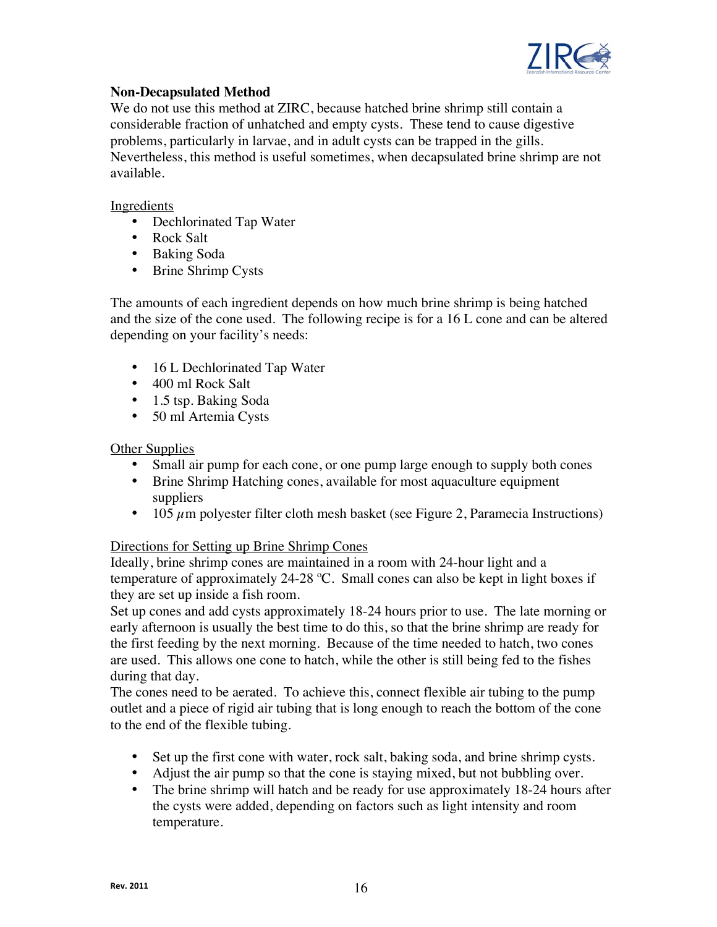

## **Non-Decapsulated Method**

We do not use this method at ZIRC, because hatched brine shrimp still contain a considerable fraction of unhatched and empty cysts. These tend to cause digestive problems, particularly in larvae, and in adult cysts can be trapped in the gills. Nevertheless, this method is useful sometimes, when decapsulated brine shrimp are not available.

## **Ingredients**

- Dechlorinated Tap Water
- Rock Salt
- Baking Soda
- Brine Shrimp Cysts

The amounts of each ingredient depends on how much brine shrimp is being hatched and the size of the cone used. The following recipe is for a 16 L cone and can be altered depending on your facility's needs:

- 16 L Dechlorinated Tap Water
- 400 ml Rock Salt
- 1.5 tsp. Baking Soda
- 50 ml Artemia Cysts

## **Other Supplies**

- Small air pump for each cone, or one pump large enough to supply both cones
- Brine Shrimp Hatching cones, available for most aquaculture equipment suppliers
- 105  $\mu$ m polyester filter cloth mesh basket (see Figure 2, Paramecia Instructions)

## Directions for Setting up Brine Shrimp Cones

Ideally, brine shrimp cones are maintained in a room with 24-hour light and a temperature of approximately 24-28 ºC. Small cones can also be kept in light boxes if they are set up inside a fish room.

Set up cones and add cysts approximately 18-24 hours prior to use. The late morning or early afternoon is usually the best time to do this, so that the brine shrimp are ready for the first feeding by the next morning. Because of the time needed to hatch, two cones are used. This allows one cone to hatch, while the other is still being fed to the fishes during that day.

The cones need to be aerated. To achieve this, connect flexible air tubing to the pump outlet and a piece of rigid air tubing that is long enough to reach the bottom of the cone to the end of the flexible tubing.

- Set up the first cone with water, rock salt, baking soda, and brine shrimp cysts.
- Adjust the air pump so that the cone is staying mixed, but not bubbling over.
- The brine shrimp will hatch and be ready for use approximately 18-24 hours after the cysts were added, depending on factors such as light intensity and room temperature.